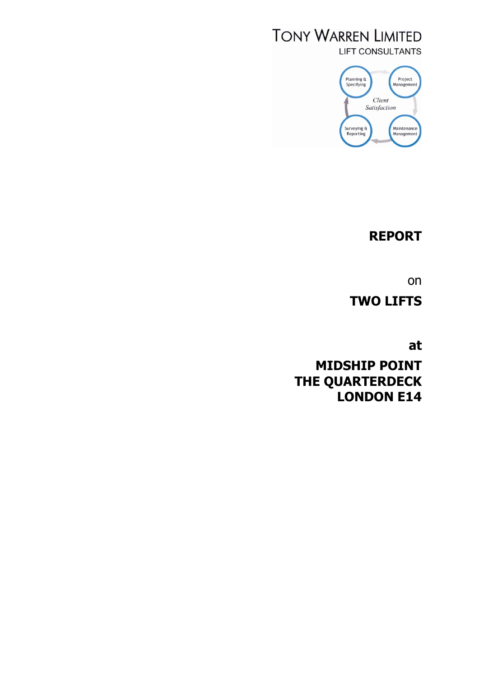# **TONY WARREN LIMITED LIFT CONSULTANTS**



# **REPORT**

on

**TWO LIFTS**

**at**

**MIDSHIP POINT THE QUARTERDECK LONDON E14**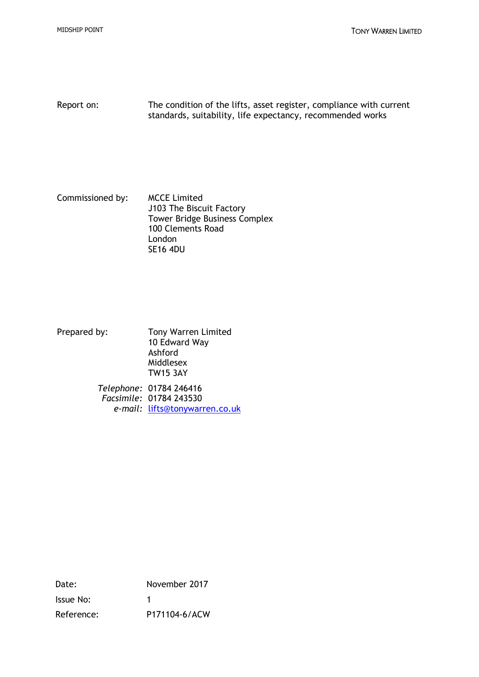Report on: The condition of the lifts, asset register, compliance with current standards, suitability, life expectancy, recommended works

Commissioned by: MCCE Limited J103 The Biscuit Factory Tower Bridge Business Complex 100 Clements Road London SE16 4DU

Prepared by: Tony Warren Limited 10 Edward Way Ashford Middlesex TW15 3AY

*Telephone:* 01784 246416 *Facsimile:* 01784 243530 *e-mail:* lifts@tonywarren.co.uk

Date: November 2017 Issue No: 1 Reference: P171104-6/ACW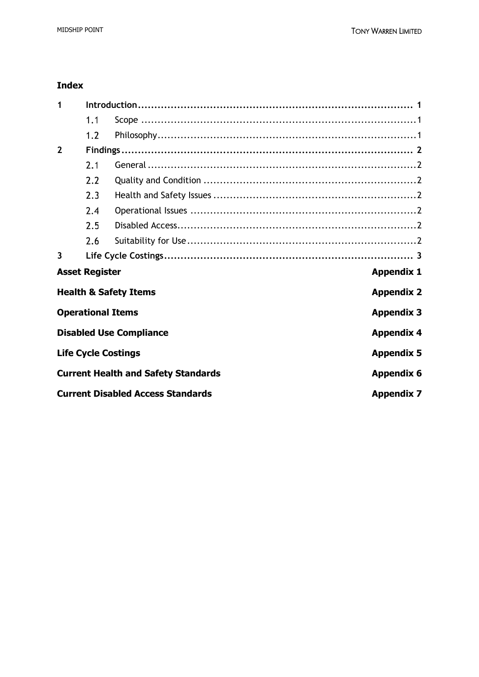## **Index**

| 1                       |                       |                                            |                   |  |  |  |  |  |
|-------------------------|-----------------------|--------------------------------------------|-------------------|--|--|--|--|--|
|                         | 1.1                   |                                            |                   |  |  |  |  |  |
|                         | 1.2                   |                                            |                   |  |  |  |  |  |
| $\overline{2}$          |                       |                                            |                   |  |  |  |  |  |
|                         | 2.1                   |                                            |                   |  |  |  |  |  |
|                         | 2.2                   |                                            |                   |  |  |  |  |  |
|                         | 2.3                   |                                            |                   |  |  |  |  |  |
|                         | 2.4                   |                                            |                   |  |  |  |  |  |
|                         | 2.5                   |                                            |                   |  |  |  |  |  |
|                         | 2.6                   |                                            |                   |  |  |  |  |  |
| $\overline{\mathbf{3}}$ |                       |                                            |                   |  |  |  |  |  |
|                         | <b>Asset Register</b> |                                            | <b>Appendix 1</b> |  |  |  |  |  |
|                         |                       | <b>Health &amp; Safety Items</b>           | <b>Appendix 2</b> |  |  |  |  |  |
|                         |                       | <b>Operational Items</b>                   | <b>Appendix 3</b> |  |  |  |  |  |
|                         |                       | <b>Disabled Use Compliance</b>             | <b>Appendix 4</b> |  |  |  |  |  |
|                         |                       | <b>Life Cycle Costings</b>                 | <b>Appendix 5</b> |  |  |  |  |  |
|                         |                       | <b>Current Health and Safety Standards</b> | <b>Appendix 6</b> |  |  |  |  |  |
|                         |                       | <b>Current Disabled Access Standards</b>   | <b>Appendix 7</b> |  |  |  |  |  |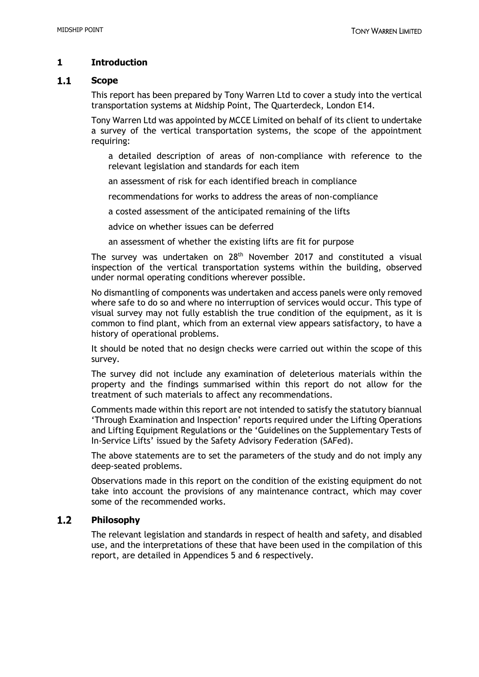## **1 Introduction**

#### $1.1$ **Scope**

This report has been prepared by Tony Warren Ltd to cover a study into the vertical transportation systems at Midship Point, The Quarterdeck, London E14.

Tony Warren Ltd was appointed by MCCE Limited on behalf of its client to undertake a survey of the vertical transportation systems, the scope of the appointment requiring:

a detailed description of areas of non-compliance with reference to the relevant legislation and standards for each item

an assessment of risk for each identified breach in compliance

recommendations for works to address the areas of non-compliance

a costed assessment of the anticipated remaining of the lifts

advice on whether issues can be deferred

an assessment of whether the existing lifts are fit for purpose

The survey was undertaken on 28<sup>th</sup> November 2017 and constituted a visual inspection of the vertical transportation systems within the building, observed under normal operating conditions wherever possible.

No dismantling of components was undertaken and access panels were only removed where safe to do so and where no interruption of services would occur. This type of visual survey may not fully establish the true condition of the equipment, as it is common to find plant, which from an external view appears satisfactory, to have a history of operational problems.

It should be noted that no design checks were carried out within the scope of this survey.

The survey did not include any examination of deleterious materials within the property and the findings summarised within this report do not allow for the treatment of such materials to affect any recommendations.

Comments made within this report are not intended to satisfy the statutory biannual 'Through Examination and Inspection' reports required under the Lifting Operations and Lifting Equipment Regulations or the 'Guidelines on the Supplementary Tests of In-Service Lifts' issued by the Safety Advisory Federation (SAFed).

The above statements are to set the parameters of the study and do not imply any deep-seated problems.

Observations made in this report on the condition of the existing equipment do not take into account the provisions of any maintenance contract, which may cover some of the recommended works.

### $1.2$ **Philosophy**

The relevant legislation and standards in respect of health and safety, and disabled use, and the interpretations of these that have been used in the compilation of this report, are detailed in Appendices 5 and 6 respectively.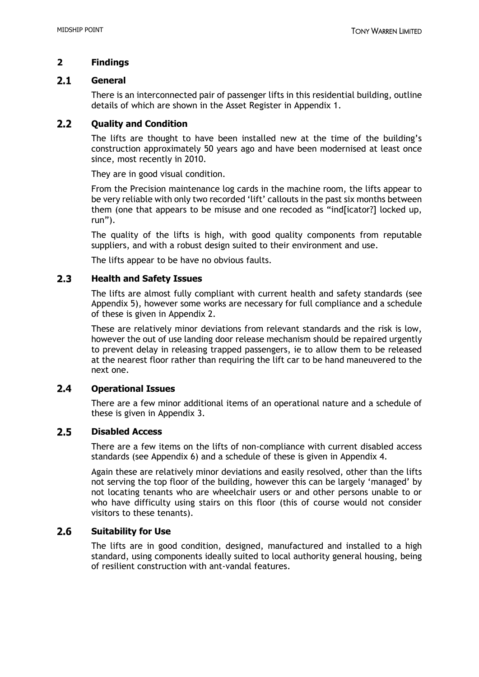## **2 Findings**

#### $2.1$ **General**

There is an interconnected pair of passenger lifts in this residential building, outline details of which are shown in the Asset Register in Appendix 1.

#### $2.2$ **Quality and Condition**

The lifts are thought to have been installed new at the time of the building's construction approximately 50 years ago and have been modernised at least once since, most recently in 2010.

They are in good visual condition.

From the Precision maintenance log cards in the machine room, the lifts appear to be very reliable with only two recorded 'lift' callouts in the past six months between them (one that appears to be misuse and one recoded as "ind[icator?] locked up, run").

The quality of the lifts is high, with good quality components from reputable suppliers, and with a robust design suited to their environment and use.

The lifts appear to be have no obvious faults.

### $2.3$ **Health and Safety Issues**

The lifts are almost fully compliant with current health and safety standards (see Appendix 5), however some works are necessary for full compliance and a schedule of these is given in Appendix 2.

These are relatively minor deviations from relevant standards and the risk is low, however the out of use landing door release mechanism should be repaired urgently to prevent delay in releasing trapped passengers, ie to allow them to be released at the nearest floor rather than requiring the lift car to be hand maneuvered to the next one.

### $2.4$ **Operational Issues**

There are a few minor additional items of an operational nature and a schedule of these is given in Appendix 3.

#### $2.5$ **Disabled Access**

There are a few items on the lifts of non-compliance with current disabled access standards (see Appendix 6) and a schedule of these is given in Appendix 4.

Again these are relatively minor deviations and easily resolved, other than the lifts not serving the top floor of the building, however this can be largely 'managed' by not locating tenants who are wheelchair users or and other persons unable to or who have difficulty using stairs on this floor (this of course would not consider visitors to these tenants).

#### $2.6$ **Suitability for Use**

The lifts are in good condition, designed, manufactured and installed to a high standard, using components ideally suited to local authority general housing, being of resilient construction with ant-vandal features.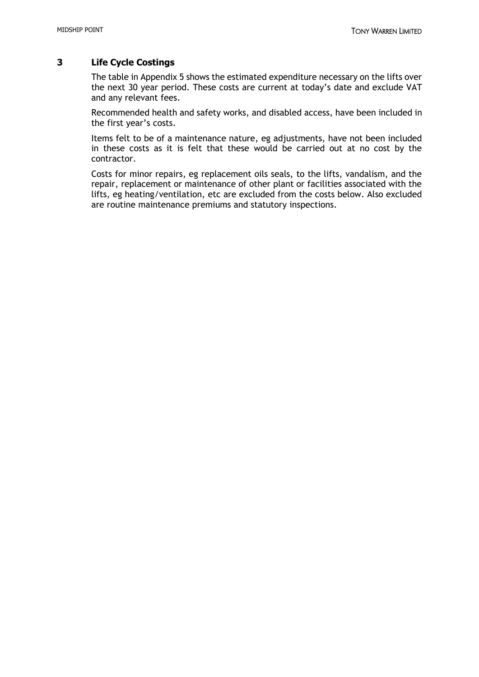## **3 Life Cycle Costings**

The table in Appendix 5 shows the estimated expenditure necessary on the lifts over the next 30 year period. These costs are current at today's date and exclude VAT and any relevant fees.

Recommended health and safety works, and disabled access, have been included in the first year's costs.

Items felt to be of a maintenance nature, eg adjustments, have not been included in these costs as it is felt that these would be carried out at no cost by the contractor.

Costs for minor repairs, eg replacement oils seals, to the lifts, vandalism, and the repair, replacement or maintenance of other plant or facilities associated with the lifts, eg heating/ventilation, etc are excluded from the costs below. Also excluded are routine maintenance premiums and statutory inspections.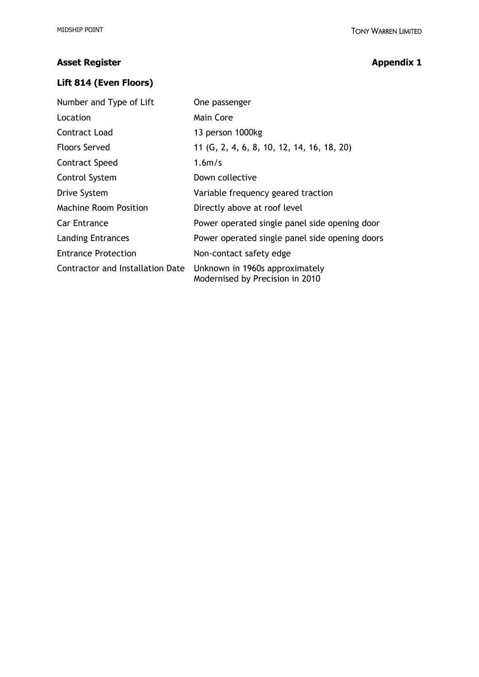# **Asset Register Appendix 1**

## **Lift 814 (Even Floors)**

| Number and Type of Lift          | One passenger                                                     |  |  |  |  |  |  |  |  |
|----------------------------------|-------------------------------------------------------------------|--|--|--|--|--|--|--|--|
| Location                         | Main Core                                                         |  |  |  |  |  |  |  |  |
| Contract Load                    | 13 person 1000kg                                                  |  |  |  |  |  |  |  |  |
| <b>Floors Served</b>             | 11 (G, 2, 4, 6, 8, 10, 12, 14, 16, 18, 20)                        |  |  |  |  |  |  |  |  |
| <b>Contract Speed</b>            | 1.6 <sub>m/s</sub>                                                |  |  |  |  |  |  |  |  |
| Control System                   | Down collective                                                   |  |  |  |  |  |  |  |  |
| Drive System                     | Variable frequency geared traction                                |  |  |  |  |  |  |  |  |
| <b>Machine Room Position</b>     | Directly above at roof level                                      |  |  |  |  |  |  |  |  |
| <b>Car Entrance</b>              | Power operated single panel side opening door                     |  |  |  |  |  |  |  |  |
| <b>Landing Entrances</b>         | Power operated single panel side opening doors                    |  |  |  |  |  |  |  |  |
| <b>Entrance Protection</b>       | Non-contact safety edge                                           |  |  |  |  |  |  |  |  |
| Contractor and Installation Date | Unknown in 1960s approximately<br>Modernised by Precision in 2010 |  |  |  |  |  |  |  |  |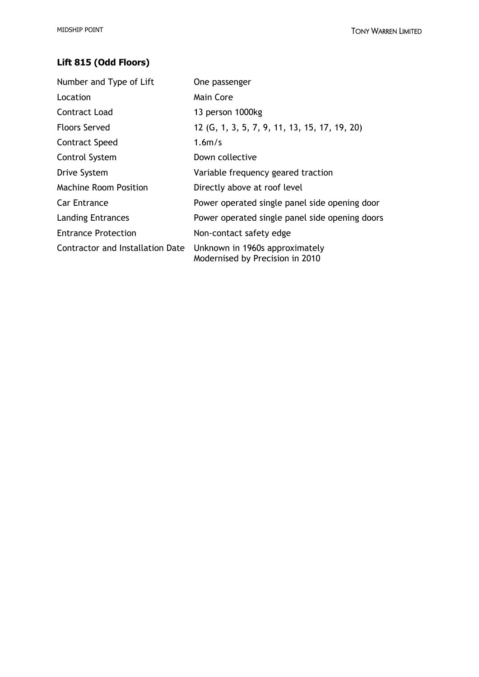# **Lift 815 (Odd Floors)**

| Number and Type of Lift          | One passenger                                                     |  |  |  |  |  |  |  |  |
|----------------------------------|-------------------------------------------------------------------|--|--|--|--|--|--|--|--|
| Location                         | Main Core                                                         |  |  |  |  |  |  |  |  |
| Contract Load                    | 13 person 1000kg                                                  |  |  |  |  |  |  |  |  |
| <b>Floors Served</b>             | 12 (G, 1, 3, 5, 7, 9, 11, 13, 15, 17, 19, 20)                     |  |  |  |  |  |  |  |  |
| Contract Speed                   | 1.6 <sub>m/s</sub>                                                |  |  |  |  |  |  |  |  |
| Control System                   | Down collective                                                   |  |  |  |  |  |  |  |  |
| Drive System                     | Variable frequency geared traction                                |  |  |  |  |  |  |  |  |
| <b>Machine Room Position</b>     | Directly above at roof level                                      |  |  |  |  |  |  |  |  |
| <b>Car Entrance</b>              | Power operated single panel side opening door                     |  |  |  |  |  |  |  |  |
| <b>Landing Entrances</b>         | Power operated single panel side opening doors                    |  |  |  |  |  |  |  |  |
| <b>Entrance Protection</b>       | Non-contact safety edge                                           |  |  |  |  |  |  |  |  |
| Contractor and Installation Date | Unknown in 1960s approximately<br>Modernised by Precision in 2010 |  |  |  |  |  |  |  |  |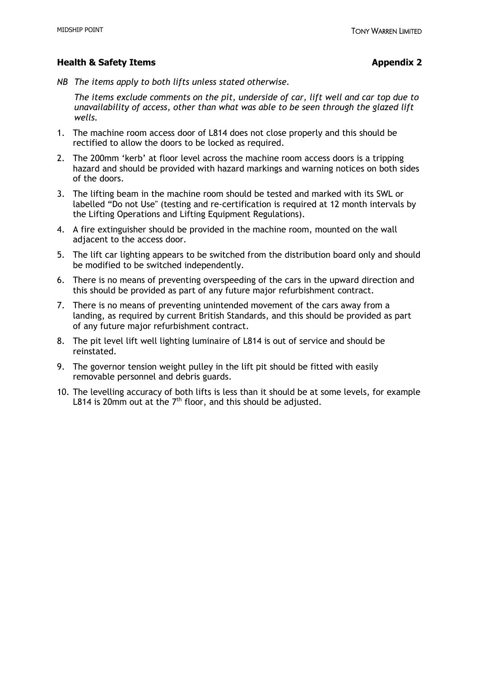## **Health & Safety Items Appendix 2**

*NB The items apply to both lifts unless stated otherwise.*

*The items exclude comments on the pit, underside of car, lift well and car top due to unavailability of access, other than what was able to be seen through the glazed lift wells.*

- 1. The machine room access door of L814 does not close properly and this should be rectified to allow the doors to be locked as required.
- 2. The 200mm 'kerb' at floor level across the machine room access doors is a tripping hazard and should be provided with hazard markings and warning notices on both sides of the doors.
- 3. The lifting beam in the machine room should be tested and marked with its SWL or labelled "Do not Use" (testing and re-certification is required at 12 month intervals by the Lifting Operations and Lifting Equipment Regulations).
- 4. A fire extinguisher should be provided in the machine room, mounted on the wall adjacent to the access door.
- 5. The lift car lighting appears to be switched from the distribution board only and should be modified to be switched independently.
- 6. There is no means of preventing overspeeding of the cars in the upward direction and this should be provided as part of any future major refurbishment contract.
- 7. There is no means of preventing unintended movement of the cars away from a landing, as required by current British Standards, and this should be provided as part of any future major refurbishment contract.
- 8. The pit level lift well lighting luminaire of L814 is out of service and should be reinstated.
- 9. The governor tension weight pulley in the lift pit should be fitted with easily removable personnel and debris guards.
- 10. The levelling accuracy of both lifts is less than it should be at some levels, for example L814 is 20mm out at the  $7<sup>th</sup>$  floor, and this should be adjusted.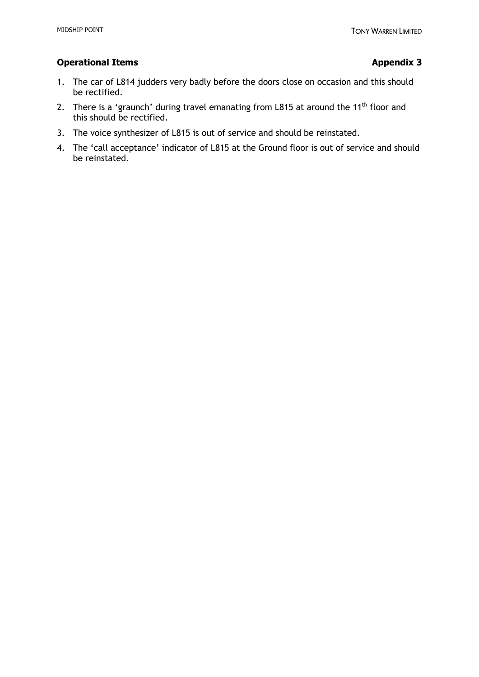## **Operational Items Appendix 3**

- 1. The car of L814 judders very badly before the doors close on occasion and this should be rectified.
- 2. There is a 'graunch' during travel emanating from L815 at around the 11<sup>th</sup> floor and this should be rectified.
- 3. The voice synthesizer of L815 is out of service and should be reinstated.
- 4. The 'call acceptance' indicator of L815 at the Ground floor is out of service and should be reinstated.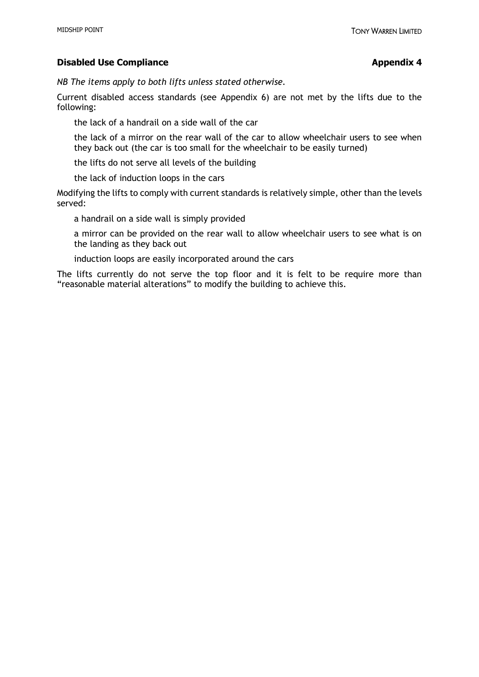## **Disabled Use Compliance Appendix 4**

*NB The items apply to both lifts unless stated otherwise.*

Current disabled access standards (see Appendix 6) are not met by the lifts due to the following:

the lack of a handrail on a side wall of the car

the lack of a mirror on the rear wall of the car to allow wheelchair users to see when they back out (the car is too small for the wheelchair to be easily turned)

the lifts do not serve all levels of the building

the lack of induction loops in the cars

Modifying the lifts to comply with current standards is relatively simple, other than the levels served:

a handrail on a side wall is simply provided

a mirror can be provided on the rear wall to allow wheelchair users to see what is on the landing as they back out

induction loops are easily incorporated around the cars

The lifts currently do not serve the top floor and it is felt to be require more than "reasonable material alterations" to modify the building to achieve this.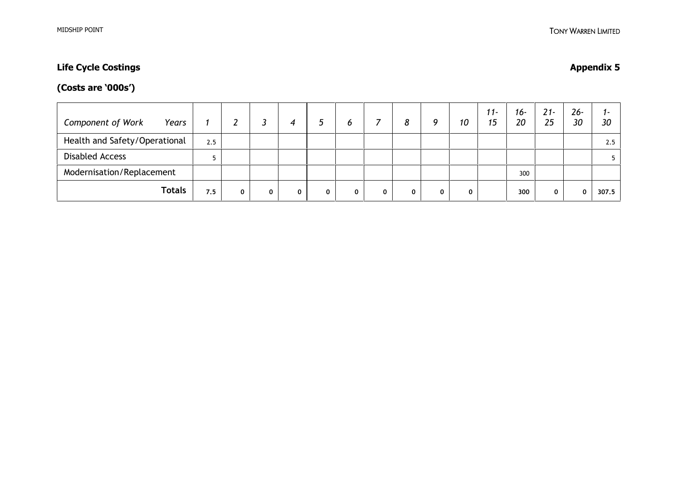# **Life Cycle Costings Appendix 5**

# **(Costs are '000s')**

| <b>Component of Work</b><br>Years |     |  |   | O | 8 | Q | 10 | $11 -$<br>15 | 16-<br>20 | $21 -$<br>25 | $26 -$<br>30 | ı –<br>30 |
|-----------------------------------|-----|--|---|---|---|---|----|--------------|-----------|--------------|--------------|-----------|
| Health and Safety/Operational     | 2.5 |  |   |   |   |   |    |              |           |              |              | 2.5       |
| <b>Disabled Access</b>            |     |  |   |   |   |   |    |              |           |              |              |           |
| Modernisation/Replacement         |     |  |   |   |   |   |    |              | 300       |              |              |           |
| <b>Totals</b>                     | 7.5 |  | 0 | 0 |   |   | 0  |              | 300       |              | n.           | 307.5     |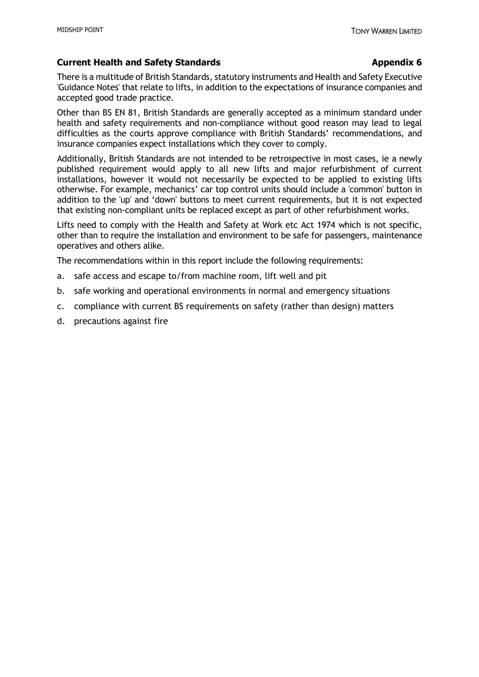### **Current Health and Safety Standards Appendix 6 Appendix 6 Appendix 6**

### There is a multitude of British Standards, statutory instruments and Health and Safety Executive 'Guidance Notes' that relate to lifts, in addition to the expectations of insurance companies and accepted good trade practice.

Other than BS EN 81, British Standards are generally accepted as a minimum standard under health and safety requirements and non-compliance without good reason may lead to legal difficulties as the courts approve compliance with British Standards' recommendations, and insurance companies expect installations which they cover to comply.

Additionally, British Standards are not intended to be retrospective in most cases, ie a newly published requirement would apply to all new lifts and major refurbishment of current installations, however it would not necessarily be expected to be applied to existing lifts otherwise. For example, mechanics' car top control units should include a 'common' button in addition to the 'up' and 'down' buttons to meet current requirements, but it is not expected that existing non-compliant units be replaced except as part of other refurbishment works.

Lifts need to comply with the Health and Safety at Work etc Act 1974 which is not specific, other than to require the installation and environment to be safe for passengers, maintenance operatives and others alike.

The recommendations within in this report include the following requirements:

- a. safe access and escape to/from machine room, lift well and pit
- b. safe working and operational environments in normal and emergency situations
- c. compliance with current BS requirements on safety (rather than design) matters
- d. precautions against fire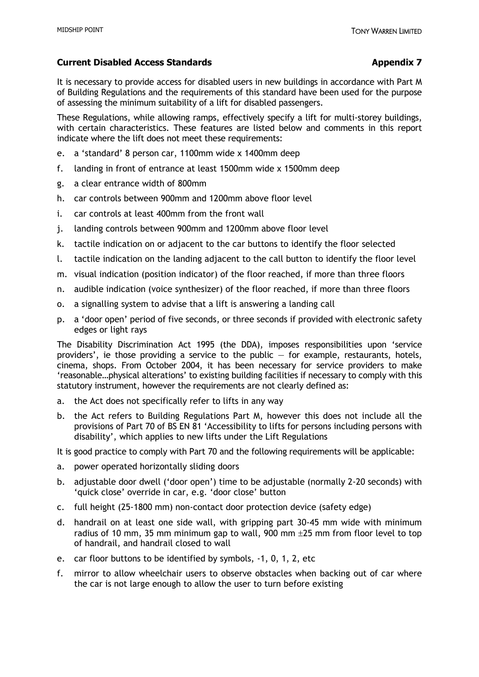## **Current Disabled Access Standards Appendix 7 Appendix 7**

## It is necessary to provide access for disabled users in new buildings in accordance with Part M of Building Regulations and the requirements of this standard have been used for the purpose of assessing the minimum suitability of a lift for disabled passengers.

These Regulations, while allowing ramps, effectively specify a lift for multi-storey buildings, with certain characteristics. These features are listed below and comments in this report indicate where the lift does not meet these requirements:

- e. a 'standard' 8 person car, 1100mm wide x 1400mm deep
- f. landing in front of entrance at least 1500mm wide x 1500mm deep
- g. a clear entrance width of 800mm
- h. car controls between 900mm and 1200mm above floor level
- i. car controls at least 400mm from the front wall
- j. landing controls between 900mm and 1200mm above floor level
- k. tactile indication on or adjacent to the car buttons to identify the floor selected
- l. tactile indication on the landing adjacent to the call button to identify the floor level
- m. visual indication (position indicator) of the floor reached, if more than three floors
- n. audible indication (voice synthesizer) of the floor reached, if more than three floors
- o. a signalling system to advise that a lift is answering a landing call
- p. a 'door open' period of five seconds, or three seconds if provided with electronic safety edges or light rays

The Disability Discrimination Act 1995 (the DDA), imposes responsibilities upon 'service providers', ie those providing a service to the public  $-$  for example, restaurants, hotels, cinema, shops. From October 2004, it has been necessary for service providers to make 'reasonable…physical alterations' to existing building facilities if necessary to comply with this statutory instrument, however the requirements are not clearly defined as:

- a. the Act does not specifically refer to lifts in any way
- b. the Act refers to Building Regulations Part M, however this does not include all the provisions of Part 70 of BS EN 81 'Accessibility to lifts for persons including persons with disability', which applies to new lifts under the Lift Regulations

It is good practice to comply with Part 70 and the following requirements will be applicable:

- a. power operated horizontally sliding doors
- b. adjustable door dwell ('door open') time to be adjustable (normally 2-20 seconds) with 'quick close' override in car, e.g. 'door close' button
- c. full height (25-1800 mm) non-contact door protection device (safety edge)
- d. handrail on at least one side wall, with gripping part 30-45 mm wide with minimum radius of 10 mm, 35 mm minimum gap to wall, 900 mm  $\pm$ 25 mm from floor level to top of handrail, and handrail closed to wall
- e. car floor buttons to be identified by symbols, -1, 0, 1, 2, etc
- f. mirror to allow wheelchair users to observe obstacles when backing out of car where the car is not large enough to allow the user to turn before existing